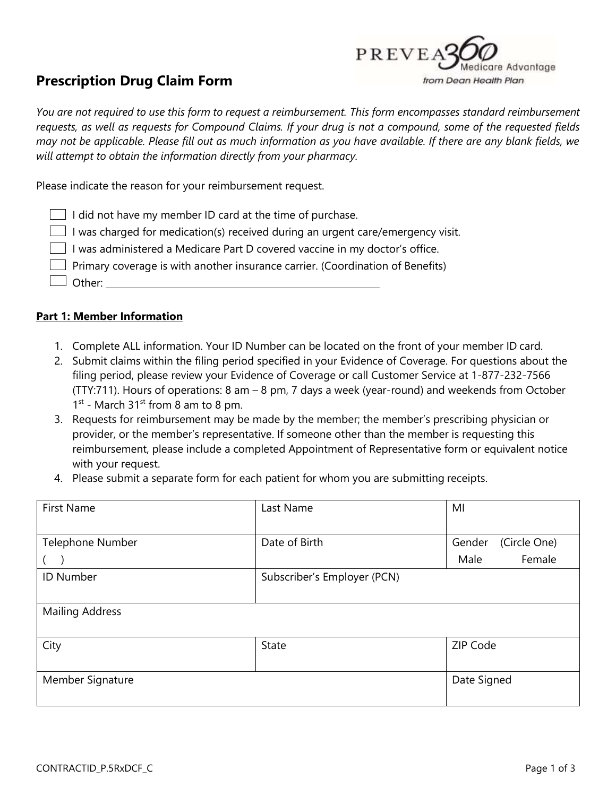

# **Prescription Drug Claim Form**

*You are not required to use this form to request a reimbursement. This form encompasses standard reimbursement requests, as well as requests for Compound Claims. If your drug is not a compound, some of the requested fields may not be applicable. Please fill out as much information as you have available. If there are any blank fields, we will attempt to obtain the information directly from your pharmacy.*

Please indicate the reason for your reimbursement request.

| $\Box$ I did not have my member ID card at the time of purchase. |  |
|------------------------------------------------------------------|--|
|------------------------------------------------------------------|--|

 $\Box$  I was charged for medication(s) received during an urgent care/emergency visit.

 $\Box$  I was administered a Medicare Part D covered vaccine in my doctor's office.

 $\Box$  Primary coverage is with another insurance carrier. (Coordination of Benefits)

 $\Box$  Other:

# **Part 1: Member Information**

- 1. Complete ALL information. Your ID Number can be located on the front of your member ID card.
- 2. Submit claims within the filing period specified in your Evidence of Coverage. For questions about the filing period, please review your Evidence of Coverage or call Customer Service at 1-877-232-7566 (TTY:711). Hours of operations: 8 am – 8 pm, 7 days a week (year-round) and weekends from October  $1<sup>st</sup>$  - March 31<sup>st</sup> from 8 am to 8 pm.
- 3. Requests for reimbursement may be made by the member; the member's prescribing physician or provider, or the member's representative. If someone other than the member is requesting this reimbursement, please include a completed Appointment of Representative form or equivalent notice with your request.
- 4. Please submit a separate form for each patient for whom you are submitting receipts.

| <b>First Name</b>      | Last Name                   | MI                     |
|------------------------|-----------------------------|------------------------|
|                        |                             |                        |
| Telephone Number       | Date of Birth               | Gender<br>(Circle One) |
|                        |                             | Female<br>Male         |
| <b>ID Number</b>       | Subscriber's Employer (PCN) |                        |
|                        |                             |                        |
| <b>Mailing Address</b> |                             |                        |
|                        |                             |                        |
| City                   | State                       | ZIP Code               |
|                        |                             |                        |
| Member Signature       |                             | Date Signed            |
|                        |                             |                        |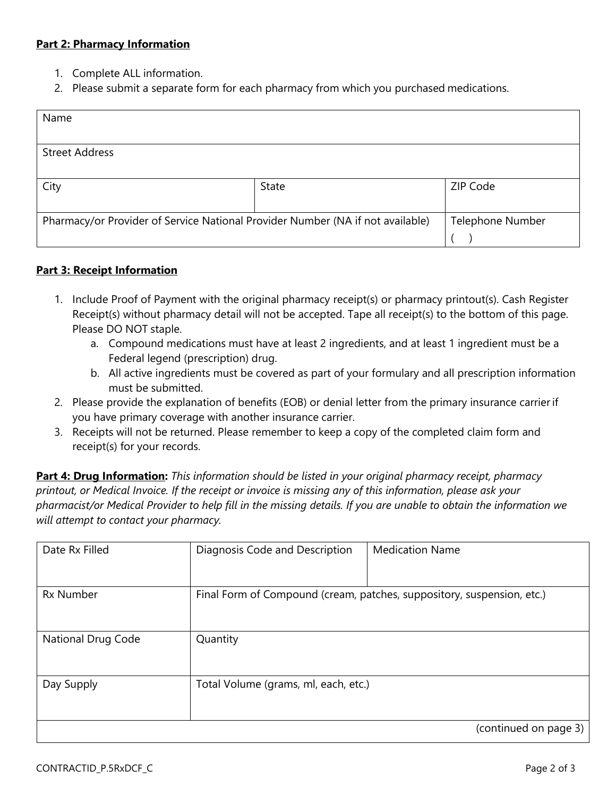# **Part 2: Pharmacy Information**

- 1. Complete ALL information.
- 2. Please submit a separate form for each pharmacy from which you purchased medications.

| Name                                                                           |       |                  |
|--------------------------------------------------------------------------------|-------|------------------|
|                                                                                |       |                  |
| <b>Street Address</b>                                                          |       |                  |
|                                                                                |       |                  |
| City                                                                           | State | ZIP Code         |
|                                                                                |       |                  |
| Pharmacy/or Provider of Service National Provider Number (NA if not available) |       | Telephone Number |
|                                                                                |       |                  |

### **Part 3: Receipt Information**

- 1. Include Proof of Payment with the original pharmacy receipt(s) or pharmacy printout(s). Cash Register Receipt(s) without pharmacy detail will not be accepted. Tape all receipt(s) to the bottom of this page. Please DO NOT staple.
	- a. Compound medications must have at least 2 ingredients, and at least 1 ingredient must be a Federal legend (prescription) drug.
	- b. All active ingredients must be covered as part of your formulary and all prescription information must be submitted.
- 2. Please provide the explanation of benefits (EOB) or denial letter from the primary insurance carrierif you have primary coverage with another insurance carrier.
- 3. Receipts will not be returned. Please remember to keep a copy of the completed claim form and receipt(s) for your records.

**Part 4: Drug Information:** *This information should be listed in your original pharmacy receipt, pharmacy printout, or Medical Invoice. If the receipt or invoice is missing any of this information, please ask your pharmacist/or Medical Provider to help fill in the missing details. If you are unable to obtain the information we will attempt to contact your pharmacy.*

| Date Rx Filled            | Diagnosis Code and Description                                         | <b>Medication Name</b> |
|---------------------------|------------------------------------------------------------------------|------------------------|
| <b>Rx Number</b>          | Final Form of Compound (cream, patches, suppository, suspension, etc.) |                        |
| <b>National Drug Code</b> | Quantity                                                               |                        |
| Day Supply                | Total Volume (grams, ml, each, etc.)                                   |                        |
|                           |                                                                        | (continued on page 3)  |